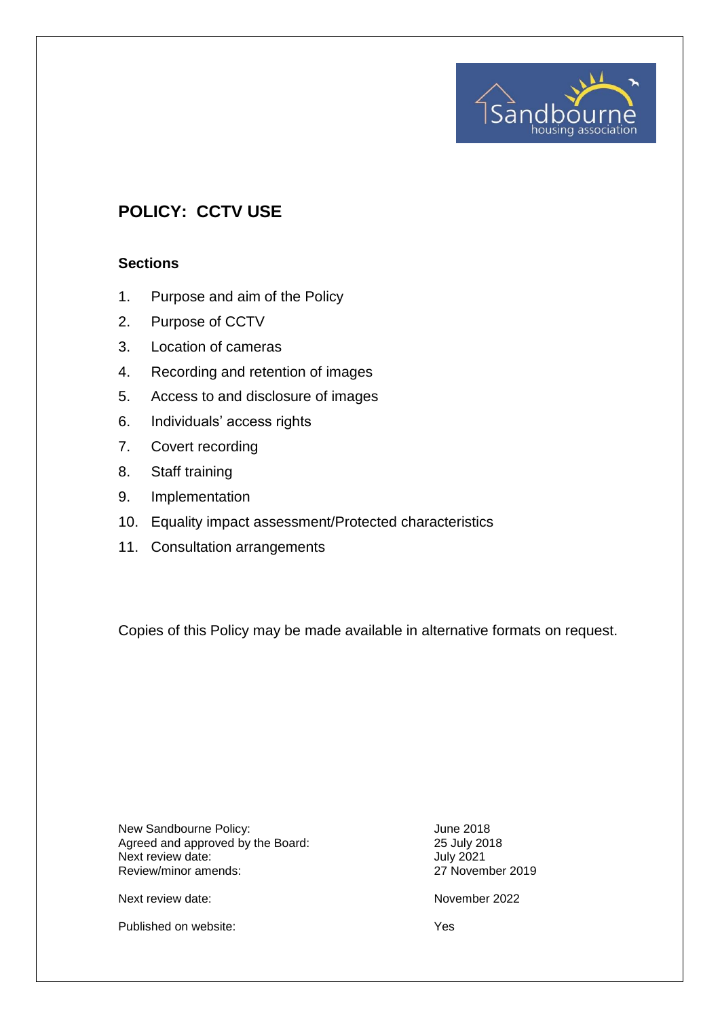# **POLICY: CCTV USE**

#### **Sections**

- 1. Purpose and aim of the Policy
- 2. Purpose of CCTV
- 3. Location of cameras
- 4. Recording and retention of images
- 5. Access to and disclosure of images
- 6. Individuals' access rights
- 7. Covert recording
- 8. Staff training
- 9. Implementation
- 10. Equality impact assessment/Protected characteristics
- 11. Consultation arrangements

Copies of this Policy may be made available in alternative formats on request.

New Sandbourne Policy:<br>
Agreed and approved by the Board:<br>
25 July 2018 Agreed and approved by the Board: 25 July 20<br>
Next review date: 30 July 2021 Next review date:<br>
Review/minor amends:<br>
Review/minor amends:<br>
27 November 2019 Review/minor amends:

sanc

nousina association

Next review date: November 2022

Published on website: Yes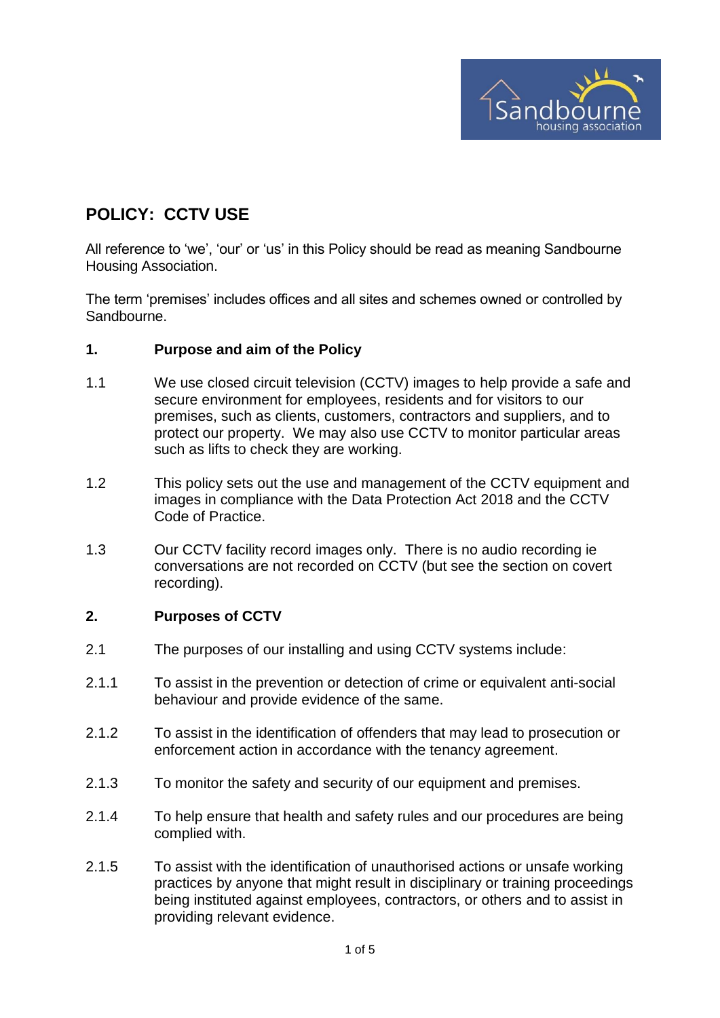

## **POLICY: CCTV USE**

All reference to 'we', 'our' or 'us' in this Policy should be read as meaning Sandbourne Housing Association.

The term 'premises' includes offices and all sites and schemes owned or controlled by Sandbourne.

#### **1. Purpose and aim of the Policy**

- 1.1 We use closed circuit television (CCTV) images to help provide a safe and secure environment for employees, residents and for visitors to our premises, such as clients, customers, contractors and suppliers, and to protect our property. We may also use CCTV to monitor particular areas such as lifts to check they are working.
- 1.2 This policy sets out the use and management of the CCTV equipment and images in compliance with the Data Protection Act 2018 and the CCTV Code of Practice.
- 1.3 Our CCTV facility record images only. There is no audio recording ie conversations are not recorded on CCTV (but see the section on covert recording).

#### **2. Purposes of CCTV**

- 2.1 The purposes of our installing and using CCTV systems include:
- 2.1.1 To assist in the prevention or detection of crime or equivalent anti-social behaviour and provide evidence of the same.
- 2.1.2 To assist in the identification of offenders that may lead to prosecution or enforcement action in accordance with the tenancy agreement.
- 2.1.3 To monitor the safety and security of our equipment and premises.
- 2.1.4 To help ensure that health and safety rules and our procedures are being complied with.
- 2.1.5 To assist with the identification of unauthorised actions or unsafe working practices by anyone that might result in disciplinary or training proceedings being instituted against employees, contractors, or others and to assist in providing relevant evidence.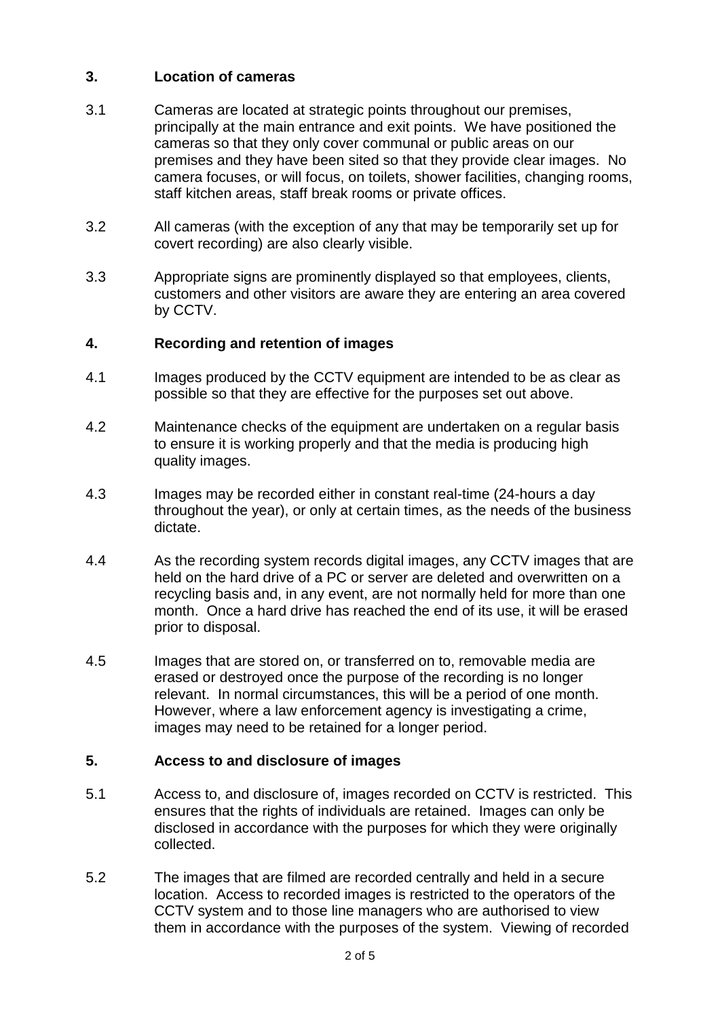## **3. Location of cameras**

- 3.1 Cameras are located at strategic points throughout our premises, principally at the main entrance and exit points. We have positioned the cameras so that they only cover communal or public areas on our premises and they have been sited so that they provide clear images. No camera focuses, or will focus, on toilets, shower facilities, changing rooms, staff kitchen areas, staff break rooms or private offices.
- 3.2 All cameras (with the exception of any that may be temporarily set up for covert recording) are also clearly visible.
- 3.3 Appropriate signs are prominently displayed so that employees, clients, customers and other visitors are aware they are entering an area covered by CCTV.

### **4. Recording and retention of images**

- 4.1 Images produced by the CCTV equipment are intended to be as clear as possible so that they are effective for the purposes set out above.
- 4.2 Maintenance checks of the equipment are undertaken on a regular basis to ensure it is working properly and that the media is producing high quality images.
- 4.3 Images may be recorded either in constant real-time (24-hours a day throughout the year), or only at certain times, as the needs of the business dictate.
- 4.4 As the recording system records digital images, any CCTV images that are held on the hard drive of a PC or server are deleted and overwritten on a recycling basis and, in any event, are not normally held for more than one month. Once a hard drive has reached the end of its use, it will be erased prior to disposal.
- 4.5 Images that are stored on, or transferred on to, removable media are erased or destroyed once the purpose of the recording is no longer relevant. In normal circumstances, this will be a period of one month. However, where a law enforcement agency is investigating a crime, images may need to be retained for a longer period.

### **5. Access to and disclosure of images**

- 5.1 Access to, and disclosure of, images recorded on CCTV is restricted. This ensures that the rights of individuals are retained. Images can only be disclosed in accordance with the purposes for which they were originally collected.
- 5.2 The images that are filmed are recorded centrally and held in a secure location. Access to recorded images is restricted to the operators of the CCTV system and to those line managers who are authorised to view them in accordance with the purposes of the system. Viewing of recorded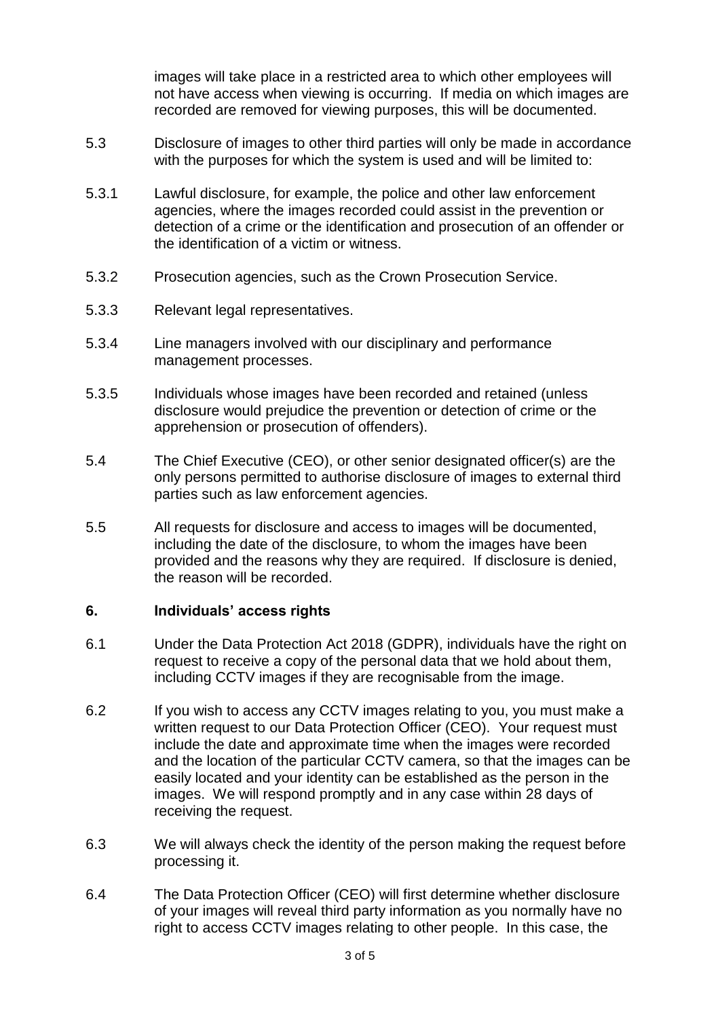images will take place in a restricted area to which other employees will not have access when viewing is occurring. If media on which images are recorded are removed for viewing purposes, this will be documented.

- 5.3 Disclosure of images to other third parties will only be made in accordance with the purposes for which the system is used and will be limited to:
- 5.3.1 Lawful disclosure, for example, the police and other law enforcement agencies, where the images recorded could assist in the prevention or detection of a crime or the identification and prosecution of an offender or the identification of a victim or witness.
- 5.3.2 Prosecution agencies, such as the Crown Prosecution Service.
- 5.3.3 Relevant legal representatives.
- 5.3.4 Line managers involved with our disciplinary and performance management processes.
- 5.3.5 Individuals whose images have been recorded and retained (unless disclosure would prejudice the prevention or detection of crime or the apprehension or prosecution of offenders).
- 5.4 The Chief Executive (CEO), or other senior designated officer(s) are the only persons permitted to authorise disclosure of images to external third parties such as law enforcement agencies.
- 5.5 All requests for disclosure and access to images will be documented, including the date of the disclosure, to whom the images have been provided and the reasons why they are required. If disclosure is denied, the reason will be recorded.

#### **6. Individuals' access rights**

- 6.1 Under the Data Protection Act 2018 (GDPR), individuals have the right on request to receive a copy of the personal data that we hold about them, including CCTV images if they are recognisable from the image.
- 6.2 If you wish to access any CCTV images relating to you, you must make a written request to our Data Protection Officer (CEO). Your request must include the date and approximate time when the images were recorded and the location of the particular CCTV camera, so that the images can be easily located and your identity can be established as the person in the images. We will respond promptly and in any case within 28 days of receiving the request.
- 6.3 We will always check the identity of the person making the request before processing it.
- 6.4 The Data Protection Officer (CEO) will first determine whether disclosure of your images will reveal third party information as you normally have no right to access CCTV images relating to other people. In this case, the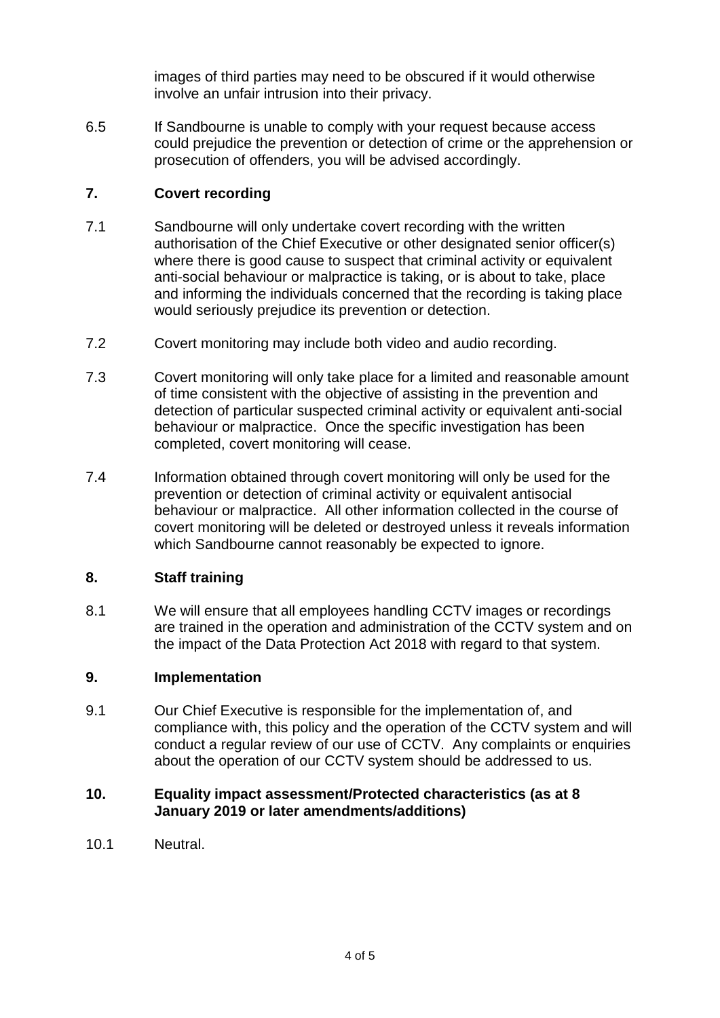images of third parties may need to be obscured if it would otherwise involve an unfair intrusion into their privacy.

6.5 If Sandbourne is unable to comply with your request because access could prejudice the prevention or detection of crime or the apprehension or prosecution of offenders, you will be advised accordingly.

## **7. Covert recording**

- 7.1 Sandbourne will only undertake covert recording with the written authorisation of the Chief Executive or other designated senior officer(s) where there is good cause to suspect that criminal activity or equivalent anti-social behaviour or malpractice is taking, or is about to take, place and informing the individuals concerned that the recording is taking place would seriously prejudice its prevention or detection.
- 7.2 Covert monitoring may include both video and audio recording.
- 7.3 Covert monitoring will only take place for a limited and reasonable amount of time consistent with the objective of assisting in the prevention and detection of particular suspected criminal activity or equivalent anti-social behaviour or malpractice. Once the specific investigation has been completed, covert monitoring will cease.
- 7.4 Information obtained through covert monitoring will only be used for the prevention or detection of criminal activity or equivalent antisocial behaviour or malpractice. All other information collected in the course of covert monitoring will be deleted or destroyed unless it reveals information which Sandbourne cannot reasonably be expected to ignore.

### **8. Staff training**

8.1 We will ensure that all employees handling CCTV images or recordings are trained in the operation and administration of the CCTV system and on the impact of the Data Protection Act 2018 with regard to that system.

### **9. Implementation**

9.1 Our Chief Executive is responsible for the implementation of, and compliance with, this policy and the operation of the CCTV system and will conduct a regular review of our use of CCTV. Any complaints or enquiries about the operation of our CCTV system should be addressed to us.

#### **10. Equality impact assessment/Protected characteristics (as at 8 January 2019 or later amendments/additions)**

10.1 Neutral.